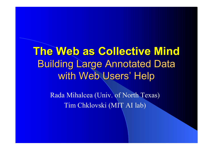**The Web as Collective Mind The Web as Collective MindBuilding Large Annotated Data** with Web Users' Help

> Rada Mihalcea (Univ. of North Texas) Tim Chklovski (MIT AI lab)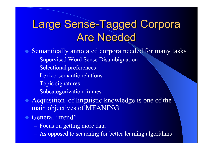## Large Sense-Tagged Corpora **Are Needed**

• Semantically annotated corpora needed for many tasks

- Supervised Word Sense Disambiguation
- Selectional preferences
- Lexico-semantic relations
- Topic signatures
- Subcategorization frames
- Acquisition of linguistic knowledge is one of the main objectives of MEANING
- General "trend"
	- Focus on getting more data
	- As opposed to searching for better learning algorithms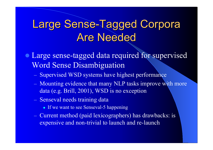#### Large Sense-Tagged Corpora Are Needed

• Large sense-tagged data required for supervised Word Sense Disambiguation

- Supervised WSD systems have highest performance
- Mounting evidence that many NLP tasks improve with more data (e.g. Brill, 2001), WSD is no exception
- Senseval needs training data
	- If we want to see Senseval-5 happening
- Current method (paid lexicographers) has drawbacks: is expensive and non-trivial to launch and re-launch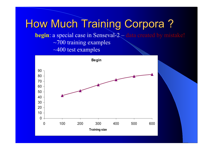How Much Training Corpora? **begin:** a special case in Senseval-2 – data created by mistake!  $\sim$ 700 training examples ~400 test examples

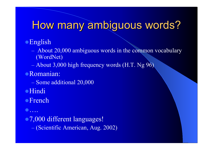#### How many ambiguous words?

#### **English**

- About 20,000 ambiguous words in the common vocabulary (WordNet)
- About 3,000 high frequency words (H.T. Ng 96)
- <sup>z</sup>Romanian:
	- Some additional 20,000
- **•Hindi**
- **•French**
- $\bullet \dots$ • 7,000 different languages! (Scientific American, Aug. 2002)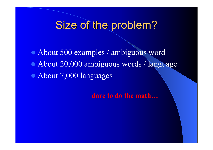#### Size of the problem?

• About 500 examples / ambiguous word

• About 20,000 ambiguous words / language

• About 7,000 languages

**dare to do the math…**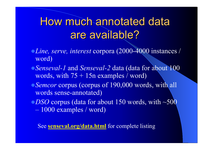## How much annotated data are available?

- <sup>z</sup>*Line, serve, interest* corpora (2000-4000 instances / word)
- z*Senseval-1* and *Senseval-2* data (data for about 100 words, with  $75 + 15n$  examples / word)
- **Semcor corpus (corpus of 190,000 words, with all** words sense-annotated)
- **DSO corpus (data for about 150 words, with ~500** – 1000 examples / word)

See **senseval.org/data.html** for complete listing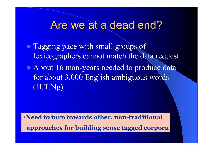#### Are we at a dead end?

- Tagging pace with small groups of lexicographers cannot match the data request
- About 16 man-years needed to produce data for about 3,000 English ambiguous words (H.T.Ng)

•**Need to turn towards other, non-traditional approaches for building sense tagged corpora**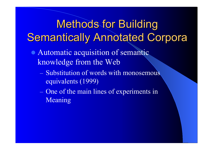# **Methods for Building** Semantically Annotated Corpora

- Automatic acquisition of semantic knowledge from the Web
	- Substitution of words with monosemous equivalents (1999)
	- One of the main lines of experiments in Meaning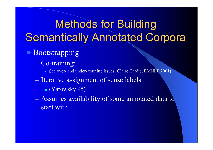**Methods for Building Semantically Annotated Corpora** 

- **Bootstrapping** 
	- Co-training:
		- See over- and under- training issues (Claire Cardie, EMNLP 2001)
	- Iterative assignment of sense labels
		- $\bullet$  (Yarowsky 95)
	- Assumes availability of some annotated data to start with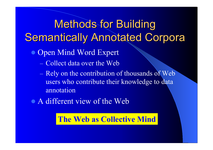**Methods for Building** Semantically Annotated Corpora

- Open Mind Word Expert
	- Collect data over the Web
	- $-$  Rely on the contribution of thousands of Web  $$ users who contribute their knowledge to data annotation
- A different view of the Web

#### **The Web as Collective Mind**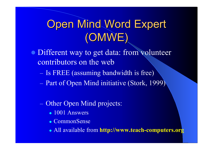# **Open Mind Word Expert** (OMWE)

- Different way to get data: from volunteer contributors on the web
	- Is FREE (assuming bandwidth is free)
	- Part of Open Mind initiative (Stork, 1999)
	- Other Open Mind projects:
		- $\bullet$  1001 Answers
		- CommonSense
		- All available from **http://www.teach-computers.org**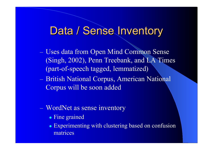#### Data / Sense Inventory

- Uses data from Open Mind Common Sense (Singh, 2002), Penn Treebank, and LA Times (part-of-speech tagged, lemmatized)
- British National Corpus, American National Corpus will be soon added
- WordNet as sense inventory
	- Fine grained
	- Experimenting with clustering based on confusion matrices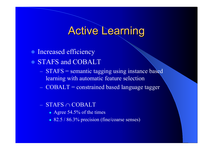#### **Active Learning**

- Increased efficiency
- STAFS and COBALT
	- STAFS = semantic tagging using instance based learning with automatic feature selection
	- $-$  COBALT = constrained based language tagger
	- STAFS ∩ COBALT
		- Agree  $54.5\%$  of the times
		- 82.5 / 86.3% precision (fine/coarse senses)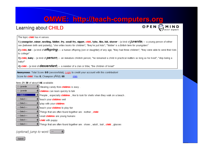#### **OMWE: http://teach OMWE: http://teach -computers.org computers.org**

#### Learning about CHILD

OPEN C

The topic **child** has 4 senses:

1) youngster, minor, nestling, tiddler, fry, small fry, nipper, child, tyke, tike, kid, shaver - (a kind of *jUVenile*) -- a young person of either sex (between birth and puberty); "she writes books for children"; "they're just kids"; "'tiddler' is a British term for youngsters"

2) child, kid - (a kind of *Offspring*) -- a human offspring (son or daughter) of any age: "they had three children": "they were able to send their kids to college"

3) child, baby - (a kind of *person*) -- an immature childish person; "he remained a child in practical matters as long as he lived"; "stop being a baby!"

4) child - (a kind of  $descentant$ ) -- a member of a clan or tribe: "the children of Israel"

Anonymous: Total Score: 0/0 (session/total); Login to credit your account with this contribution! Score for **child**: You: 0; Champion (Aka): 60. stats

#### Items 21-30 of about 146 available:

| children can learn quickly to talk<br>1 - juvenile<br>$\sqrt{\frac{1}{2} + \frac{1}{2} + \frac{1}{2} + \frac{1}{2} + \frac{1}{2} + \frac{1}{2} + \frac{1}{2} + \frac{1}{2} + \frac{1}{2} + \frac{1}{2} + \frac{1}{2}}$<br>÷<br>---Select---<br>  teach your <b>children</b> well.<br>÷<br>--- Select---<br>play with your <b>children</b><br>---Select---<br>teach your children to play fair<br>---Select---<br>Things that are often found together are : mother , <b>child</b><br>---Select---<br>÷ |
|--------------------------------------------------------------------------------------------------------------------------------------------------------------------------------------------------------------------------------------------------------------------------------------------------------------------------------------------------------------------------------------------------------------------------------------------------------------------------------------------------------|
| People, especially children, like to look for shells when they walk on a beach.                                                                                                                                                                                                                                                                                                                                                                                                                        |
|                                                                                                                                                                                                                                                                                                                                                                                                                                                                                                        |
|                                                                                                                                                                                                                                                                                                                                                                                                                                                                                                        |
|                                                                                                                                                                                                                                                                                                                                                                                                                                                                                                        |
|                                                                                                                                                                                                                                                                                                                                                                                                                                                                                                        |
|                                                                                                                                                                                                                                                                                                                                                                                                                                                                                                        |
| small children are young humans                                                                                                                                                                                                                                                                                                                                                                                                                                                                        |
| ÷<br>---Select---<br>child with puppy                                                                                                                                                                                                                                                                                                                                                                                                                                                                  |
| $\div$ Things that are often found together are : shoes , adult , ball , child , glasses<br>---Select---                                                                                                                                                                                                                                                                                                                                                                                               |

 $\left| \cdot \right|$ 

(optional) jump to word:  $\lceil - \rceil$ 

Submit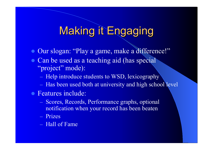#### **Making it Engaging**

- Our slogan: "Play a game, make a difference!"
- Can be used as a teaching aid (has special "project" mode):
	- Help introduce students to WSD, lexicography
	- Has been used both at university and high school level
- **Features include:** 
	- Scores, Records, Performance graphs, optional notification when your record has been beaten
	- Prizes
	- Hall of Fame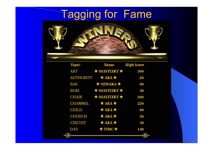# **Tagging for Fame**



| Topic         | <b>Name</b>                   | High Score |
|---------------|-------------------------------|------------|
| <b>ART</b>    | $\star$ SSAVITZKY $\star$     | 300        |
|               | AUTHORITY $\star$ AKA $\star$ | 20         |
| <b>BAR</b>    | $\star$ NEWAKA $\star$        | 90         |
| BUM           | $\star$ SSAVITZKY $\star$     | 30         |
| CHAIR         | $\star$ SSAVITZKY $\star$     | 200        |
| CHANNEL       | $\star$ AKA $\star$           | 220        |
| <b>CHILD</b>  | $*$ AKA $*$                   | 60         |
| <b>CHURCH</b> | $\star$ AKA $\star$           | 50         |
| CIRCUIT       | $*$ AKA $*$                   | 30         |
| DAY           | $\star$ TIMC $\star$          | 140        |
| $\sim$        |                               | رەپر       |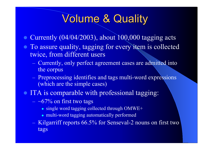#### Volume & Quality

- $\bullet$  Currently (04/04/2003), about 100,000 tagging acts
- To assure quality, tagging for every item is collected twice, from different users
	- Currently, only perfect agreement cases are admitted into the corpus
	- Preprocessing identifies and tags multi-word expressions (which are the simple cases)
- ITA is comparable with professional tagging:
	- $-$  ~67% on first two tags
		- single word tagging collected through  $OMWE+$
		- multi-word tagging automatically performed
	- Kilgarriff reports 66.5% for Senseval-2 nouns on first two tags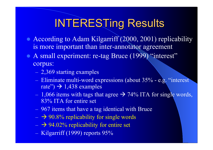# **INTERESTing Results**

- According to Adam Kilgarriff (2000, 2001) replicability is more important than inter-annotator agreement
- A small experiment: re-tag Bruce (1999) "interest" corpus:
	- 2,369 starting examples
	- Eliminate multi-word expressions (about 35% e.g. "interest rate'')  $\rightarrow$  1,438 examples
	- $-1,066$  items with tags that agree  $\rightarrow$  74% ITA for single words, 83% ITA for entire set
	- 967 items that have a tag identical with Bruce
	- $\rightarrow$  90.8% replicability for single words
	- $\rightarrow$  94.02% replicability for entire set
	- Kilgarriff (1999) reports 95%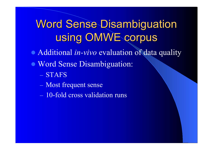# **Word Sense Disambiguation** using OMWE corpus

• Additional *in-vivo* evaluation of data quality

- Word Sense Disambiguation:
	- STAFS
	- Most frequent sense
	- 10-fold cross validation runs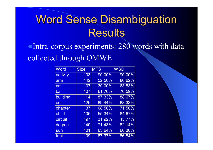Intra-corpus experiments: 280 words with data collected through OMWE

| <b>Word</b> | <b>Size</b> | <b>MFS</b> | <b>WSD</b> |
|-------------|-------------|------------|------------|
| activity    | 103         | 90.00%     | 90.00%     |
| arm         | 142         | 52.50%     | 80.62%     |
| art         | 107         | 30.00%     | 63.53%     |
| bar         | 107         | 61.76%     | 70.59%     |
| building    | 114         | 87.33%     | 88.67%     |
| cell        | 126         | 89.44%     | 88.33%     |
| chapter     | 137         | 68.50%     | 71.50%     |
| child       | 105         | 55.34%     | 84.67%     |
| circuit     | 197         | 31.92%     | 45.77%     |
| degree      | 140         | 71.43%     | 82.14%     |
| sun         | 101         | 63.64%     | 66.36%     |
| trial       | 109         | 87.37%     | 86.84%     |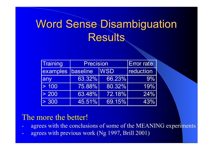| Training          | <b>Precision</b> | <b>Error rate</b> |           |
|-------------------|------------------|-------------------|-----------|
| examples baseline |                  | <b>WSD</b>        | reduction |
| any               | 63.32%           | 66.23%            | $9\%$     |
| > 100             | 75.88%           | 80.32%            | 19%       |
| > 200             | 63.48%           | 72.18%            | $24\%$    |
| > 300             | 45.51%           | 69.15%            | 43%       |

#### The more the better!

- agrees with the conclusions of some of the MEANING experiments
- agrees with previous work (Ng 1997, Brill 2001)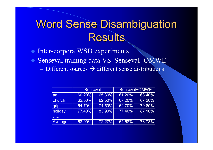- $\bullet$ Inter-corpora WSD experiments
- Senseval training data VS. Senseval+OMWE  $\overline{\phantom{a}}$  Different sources  $\overrightarrow{\phantom{a}}$  different sense distributions

|         | <b>Senseval</b> |        | Senseval+OMWE |        |
|---------|-----------------|--------|---------------|--------|
| art     | 60.20%          | 65.30% | 61.20%        | 68.40% |
| church  | 62.50%          | 62.50% | 67.20%        | 67.20% |
| grip    | 54.70%          | 74.50% | 62.70%        | 70.60% |
| holiday | 77.40%          | 83.90% | 77.40%        | 87.10% |
|         |                 |        |               |        |
| Average | 63.99%          | 72.27% | 64.58%        | 73.78% |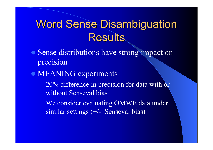- Sense distributions have strong impact on precision
- MEANING experiments
	- 20% difference in precision for data with or without Senseval bias
	- We consider evaluating OMWE data under similar settings (+/- Senseval bias)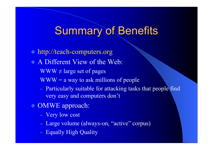#### **Summary of Benefits**

- http://teach-computers.org
- A Different View of the Web:
	- $WWW \neq \text{large set of pages}$
	- $WWW = a$  way to ask millions of people
	- Particularly suitable for attacking tasks that people find very easy and computers don't
- OMWE approach:
	- Very low cost
	- Large volume (always-on, "active" corpus)
	- Equally High Quality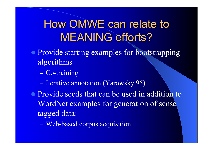# How OMWE can relate to **MEANING efforts?**

- Provide starting examples for bootstrapping algorithms
	- Co-training
	- Iterative annotation (Yarowsky 95)
- Provide seeds that can be used in addition to WordNet examples for generation of sense tagged data:
	- Web-based corpus acquisition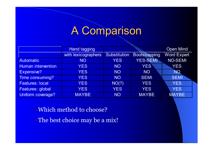# A Comparison A Comparison

|                           | Hand tagging        |                     |                      | <b>Open Mind</b>   |
|---------------------------|---------------------|---------------------|----------------------|--------------------|
|                           | with lexicographers | <b>Substitution</b> | <b>Bootstrapping</b> | <b>Word Expert</b> |
| <b>Automatic</b>          | <b>NO</b>           | <b>YES</b>          | YES-SEMI             | <b>NO-SEMI</b>     |
| <b>Human intervention</b> | <b>YES</b>          | <b>NO</b>           | YES <sup>'</sup>     | <b>YES</b>         |
| Expensive?                | <b>YES</b>          | <b>NO</b>           | <b>NO</b>            | <b>NQ</b>          |
| Time consuming?           | <b>YES</b>          | <b>NO</b>           | <b>SEMI</b>          | <b>SEMI</b>        |
| <b>Features: local</b>    | <b>YES</b>          | NO(?)               | <b>YES</b>           | <b>YES</b>         |
| Features: global          | <b>YES</b>          | <b>YES</b>          | <b>YES</b>           | <b>YES</b>         |
| Uniform coverage?         | <b>MAYBE</b>        | <b>NO</b>           | <b>MAYBE</b>         | <b>MAYBE</b>       |

#### •Which method to choose?

•The best choice may be a mix!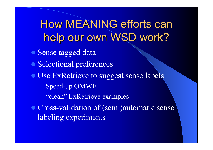How MEANING efforts can help our own WSD work?

- Sense tagged data
- Selectional preferences
- Use ExRetrieve to suggest sense labels
	- Speed-up OMWE
	- "clean" ExRetrieve examples
- Cross-validation of (semi)automatic sense labeling experiments